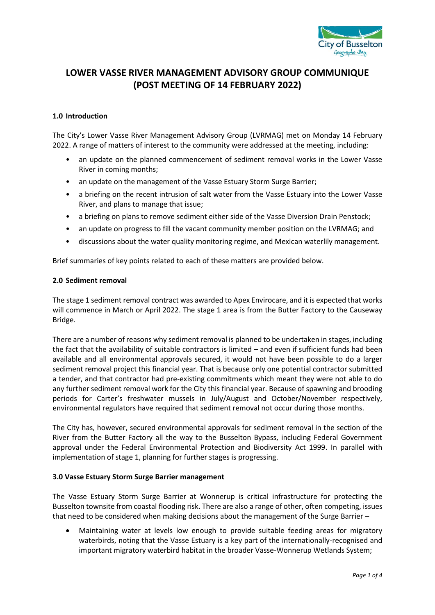

# **LOWER VASSE RIVER MANAGEMENT ADVISORY GROUP COMMUNIQUE (POST MEETING OF 14 FEBRUARY 2022)**

## **1.0 Introduction**

The City's Lower Vasse River Management Advisory Group (LVRMAG) met on Monday 14 February 2022. A range of matters of interest to the community were addressed at the meeting, including:

- an update on the planned commencement of sediment removal works in the Lower Vasse River in coming months;
- an update on the management of the Vasse Estuary Storm Surge Barrier;
- a briefing on the recent intrusion of salt water from the Vasse Estuary into the Lower Vasse River, and plans to manage that issue;
- a briefing on plans to remove sediment either side of the Vasse Diversion Drain Penstock;
- an update on progress to fill the vacant community member position on the LVRMAG; and
- discussions about the water quality monitoring regime, and Mexican waterlily management.

Brief summaries of key points related to each of these matters are provided below.

#### **2.0 Sediment removal**

The stage 1 sediment removal contract was awarded to Apex Envirocare, and it is expected that works will commence in March or April 2022. The stage 1 area is from the Butter Factory to the Causeway Bridge.

There are a number of reasons why sediment removal is planned to be undertaken in stages, including the fact that the availability of suitable contractors is limited – and even if sufficient funds had been available and all environmental approvals secured, it would not have been possible to do a larger sediment removal project this financial year. That is because only one potential contractor submitted a tender, and that contractor had pre-existing commitments which meant they were not able to do any further sediment removal work for the City this financial year. Because of spawning and brooding periods for Carter's freshwater mussels in July/August and October/November respectively, environmental regulators have required that sediment removal not occur during those months.

The City has, however, secured environmental approvals for sediment removal in the section of the River from the Butter Factory all the way to the Busselton Bypass, including Federal Government approval under the Federal Environmental Protection and Biodiversity Act 1999. In parallel with implementation of stage 1, planning for further stages is progressing.

## **3.0 Vasse Estuary Storm Surge Barrier management**

The Vasse Estuary Storm Surge Barrier at Wonnerup is critical infrastructure for protecting the Busselton townsite from coastal flooding risk. There are also a range of other, often competing, issues that need to be considered when making decisions about the management of the Surge Barrier –

 Maintaining water at levels low enough to provide suitable feeding areas for migratory waterbirds, noting that the Vasse Estuary is a key part of the internationally-recognised and important migratory waterbird habitat in the broader Vasse-Wonnerup Wetlands System;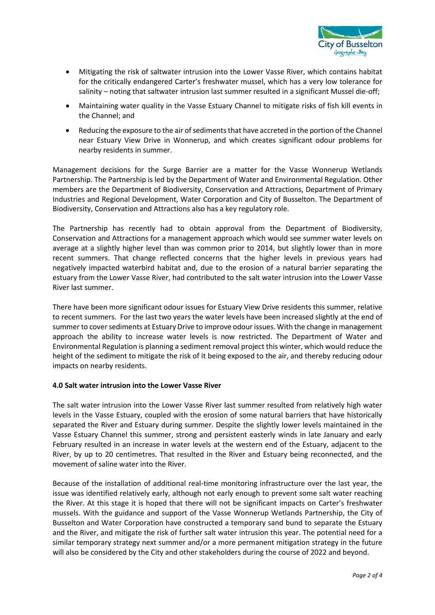

- Mitigating the risk of saltwater intrusion into the Lower Vasse River, which contains habitat for the critically endangered Carter's freshwater mussel, which has a very low tolerance for salinity – noting that saltwater intrusion last summer resulted in a significant Mussel die-off;
- Maintaining water quality in the Vasse Estuary Channel to mitigate risks of fish kill events in the Channel; and
- Reducing the exposure to the air of sediments that have accreted in the portion of the Channel near Estuary View Drive in Wonnerup, and which creates significant odour problems for nearby residents in summer.

Management decisions for the Surge Barrier are a matter for the Vasse Wonnerup Wetlands Partnership. The Partnership is led by the Department of Water and Environmental Regulation. Other members are the Department of Biodiversity, Conservation and Attractions, Department of Primary Industries and Regional Development, Water Corporation and City of Busselton. The Department of Biodiversity, Conservation and Attractions also has a key regulatory role.

The Partnership has recently had to obtain approval from the Department of Biodiversity, Conservation and Attractions for a management approach which would see summer water levels on average at a slightly higher level than was common prior to 2014, but slightly lower than in more recent summers. That change reflected concerns that the higher levels in previous years had negatively impacted waterbird habitat and, due to the erosion of a natural barrier separating the estuary from the Lower Vasse River, had contributed to the salt water intrusion into the Lower Vasse River last summer.

There have been more significant odour issues for Estuary View Drive residents this summer, relative to recent summers. For the last two years the water levels have been increased slightly at the end of summer to cover sediments at Estuary Drive to improve odour issues. With the change in management approach the ability to increase water levels is now restricted. The Department of Water and Environmental Regulation is planning a sediment removal project this winter, which would reduce the height of the sediment to mitigate the risk of it being exposed to the air, and thereby reducing odour impacts on nearby residents.

## **4.0 Salt water intrusion into the Lower Vasse River**

The salt water intrusion into the Lower Vasse River last summer resulted from relatively high water levels in the Vasse Estuary, coupled with the erosion of some natural barriers that have historically separated the River and Estuary during summer. Despite the slightly lower levels maintained in the Vasse Estuary Channel this summer, strong and persistent easterly winds in late January and early February resulted in an increase in water levels at the western end of the Estuary, adjacent to the River, by up to 20 centimetres. That resulted in the River and Estuary being reconnected, and the movement of saline water into the River.

Because of the installation of additional real-time monitoring infrastructure over the last year, the issue was identified relatively early, although not early enough to prevent some salt water reaching the River. At this stage it is hoped that there will not be significant impacts on Carter's freshwater mussels. With the guidance and support of the Vasse Wonnerup Wetlands Partnership, the City of Busselton and Water Corporation have constructed a temporary sand bund to separate the Estuary and the River, and mitigate the risk of further salt water intrusion this year. The potential need for a similar temporary strategy next summer and/or a more permanent mitigation strategy in the future will also be considered by the City and other stakeholders during the course of 2022 and beyond.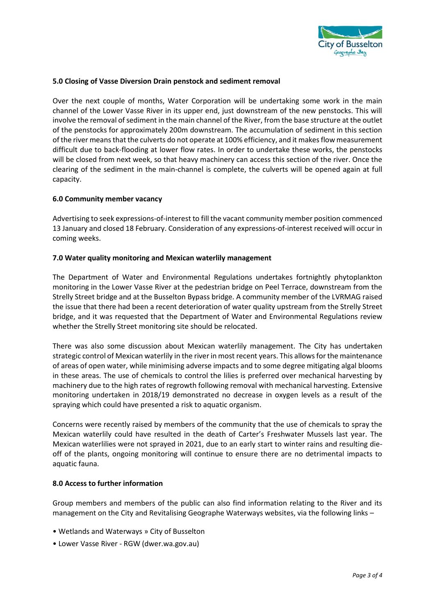

## **5.0 Closing of Vasse Diversion Drain penstock and sediment removal**

Over the next couple of months, Water Corporation will be undertaking some work in the main channel of the Lower Vasse River in its upper end, just downstream of the new penstocks. This will involve the removal of sediment in the main channel of the River, from the base structure at the outlet of the penstocks for approximately 200m downstream. The accumulation of sediment in this section of the river means that the culverts do not operate at 100% efficiency, and it makes flow measurement difficult due to back-flooding at lower flow rates. In order to undertake these works, the penstocks will be closed from next week, so that heavy machinery can access this section of the river. Once the clearing of the sediment in the main-channel is complete, the culverts will be opened again at full capacity.

#### **6.0 Community member vacancy**

Advertising to seek expressions-of-interest to fill the vacant community member position commenced 13 January and closed 18 February. Consideration of any expressions-of-interest received will occur in coming weeks.

#### **7.0 Water quality monitoring and Mexican waterlily management**

The Department of Water and Environmental Regulations undertakes fortnightly phytoplankton monitoring in the Lower Vasse River at the pedestrian bridge on Peel Terrace, downstream from the Strelly Street bridge and at the Busselton Bypass bridge. A community member of the LVRMAG raised the issue that there had been a recent deterioration of water quality upstream from the Strelly Street bridge, and it was requested that the Department of Water and Environmental Regulations review whether the Strelly Street monitoring site should be relocated.

There was also some discussion about Mexican waterlily management. The City has undertaken strategic control of Mexican waterlily in the river in most recent years. This allows for the maintenance of areas of open water, while minimising adverse impacts and to some degree mitigating algal blooms in these areas. The use of chemicals to control the lilies is preferred over mechanical harvesting by machinery due to the high rates of regrowth following removal with mechanical harvesting. Extensive monitoring undertaken in 2018/19 demonstrated no decrease in oxygen levels as a result of the spraying which could have presented a risk to aquatic organism.

Concerns were recently raised by members of the community that the use of chemicals to spray the Mexican waterlily could have resulted in the death of Carter's Freshwater Mussels last year. The Mexican waterlilies were not sprayed in 2021, due to an early start to winter rains and resulting dieoff of the plants, ongoing monitoring will continue to ensure there are no detrimental impacts to aquatic fauna.

#### **8.0 Access to further information**

Group members and members of the public can also find information relating to the River and its management on the City and Revitalising Geographe Waterways websites, via the following links –

- Wetlands and Waterways » City of Busselton
- Lower Vasse River RGW (dwer.wa.gov.au)